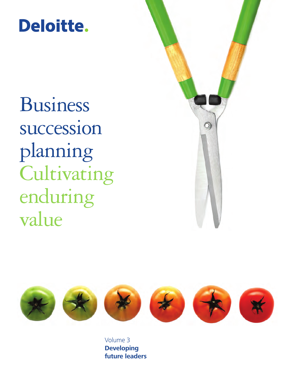# Deloitte.

Business succession planning Cultivating enduring value





Volume 3 **Developing future leaders**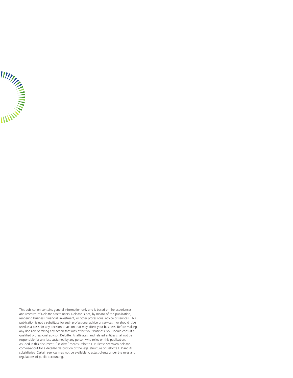

This publication contains general information only and is based on the experiences and research of Deloitte practitioners. Deloitte is not, by means of this publication, rendering business, financial, investment, or other professional advice or services. This publication is not a substitute for such professional advice or services, nor should it be used as a basis for any decision or action that may affect your business. Before making any decision or taking any action that may affect your business, you should consult a qualified professional advisor. Deloitte, its affiliates, and related entities shall not be responsible for any loss sustained by any person who relies on this publication. As used in this document, "Deloitte" means Deloitte LLP. Please see www.deloitte. com/us/about for a detailed description of the legal structure of Deloitte LLP and its subsidiaries. Certain services may not be available to attest clients under the rules and regulations of public accounting.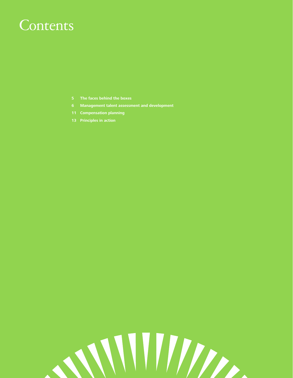## **Contents**

- **[5 The faces behind the boxes](#page-4-0)**
- **[6 Management talent assessment and development](#page-5-0)**
- **[11 Compensation planning](#page-10-0)**
- **[13 Principles in action](#page-12-0)**

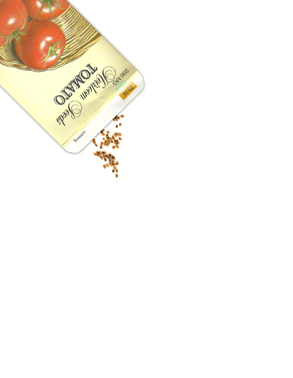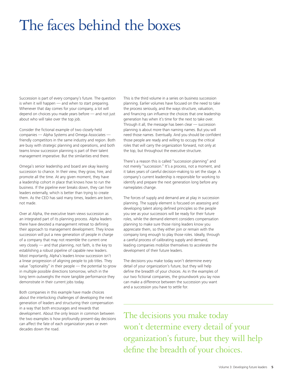## <span id="page-4-0"></span>The faces behind the boxes

Succession is part of every company's future. The question is when it will happen — and when to start preparing. Whenever that day comes for your company, a lot will depend on choices you made years before — and not just about who will take over the top job.

Consider the fictional example of two closely-held companies — Alpha Systems and Omega Associates friendly competitors in the same industry and region. Both are busy with strategic planning and operations, and both teams know succession planning is part of their talent management imperative. But the similarities end there.

Omega's senior leadership and board are okay leaving succession to chance. In their view, they grow, hire, and promote all the time. At any given moment, they have a leadership cohort in place that knows how to run the business. If the pipeline ever breaks down, they can hire leaders externally, which is better than trying to create them. As the CEO has said many times, leaders are born, not made.

Over at Alpha, the executive team views succession as an integrated part of its planning process. Alpha leaders there have devoted a management retreat to defining their approach to management development. They know succession will put a new generation of people in charge of a company that may not resemble the current one very closely — and that planning, not faith, is the key to establishing a robust pipeline of capable new leaders. Most importantly, Alpha's leaders know succession isn't a linear progression of aligning people to job titles. They value "optionality" in their people — the potential to grow in multiple possible directions tomorrow, which in the long term outweighs the more tangible performance they demonstrate in their current jobs today.

Both companies in this example have made choices about the interlocking challenges of developing the next generation of leaders and structuring their compensation in a way that both encourages and rewards that development. About the only lesson in common between the two examples is how profoundly present-day decisions can affect the fate of each organization years or even decades down the road.

This is the third volume in a series on business succession planning. Earlier volumes have focused on the need to take the process seriously, and the ways structure, valuation, and financing can influence the choices that one leadership generation has when it's time for the next to take over. Through it all, the message has been clear — succession planning is about more than naming names. But you will need those names. Eventually. And you should be confident those people are ready and willing to occupy the critical roles that will carry the organization forward, not only at the top, but throughout the executive structure.

There's a reason this is called "succession planning" and not merely "succession." It's a process, not a moment, and it takes years of careful decision-making to set the stage. A company's current leadership is responsible for working to identify and prepare the next generation long before any nameplates change.

The forces of supply and demand are at play in succession planning. The supply element is focused on assessing and developing talent along defined principles so the people you see as your successors will be ready for their future roles, while the demand element considers compensation planning to make sure those rising leaders know you appreciate them, so they either join or remain with the company long enough to play those roles. Ideally, through a careful process of calibrating supply and demand, leading companies mobilize themselves to accelerate the development of their future leaders.

The decisions you make today won't determine every detail of your organization's future, but they will help define the breadth of your choices. As in the examples of our two fictional companies, the groundwork you lay now can make a difference between the succession you want and a succession you have to settle for.

The decisions you make today won't determine every detail of your organization's future, but they will help define the breadth of your choices.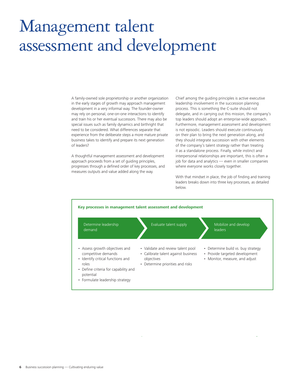## <span id="page-5-0"></span>Management talent assessment and development

A family-owned sole proprietorship or another organization in the early stages of growth may approach management development in a very informal way. The founder-owner may rely on personal, one-on-one interactions to identify and train his or her eventual successors. There may also be special issues such as family dynamics and birthright that need to be considered. What differences separate that experience from the deliberate steps a more mature private business takes to identify and prepare its next generation of leaders?

A thoughtful management assessment and development approach proceeds from a set of guiding principles, progresses through a defined order of key processes, and measures outputs and value added along the way.

Chief among the guiding principles is active executive leadership involvement in the succession planning process. This is something the C-suite should not delegate, and in carrying out this mission, the company's top leaders should adopt an enterprise-wide approach. Furthermore, management assessment and development is not episodic. Leaders should execute continuously on their plan to bring the next generation along, and they should integrate succession with other elements of the company's talent strategy rather than treating it as a standalone process. Finally, while instinct and interpersonal relationships are important, this is often a job for data and analytics — even in smaller companies where everyone works closely together.

With that mindset in place, the job of finding and training leaders breaks down into three key processes, as detailed below.

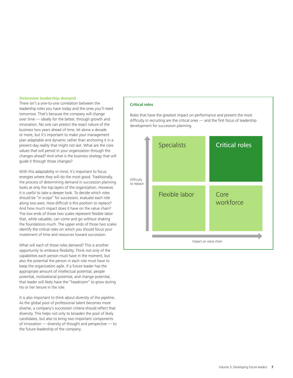#### **Determine leadership demand**

There isn't a one-to-one correlation between the leadership roles you have today and the ones you'll need tomorrow. That's because the company will change over time — ideally for the better, through growth and innovation. No one can predict the exact nature of the business two years ahead of time, let alone a decade or more, but it's important to make your management plan adaptable and dynamic rather than anchoring it in a present-day reality that might not last. What are the core values that will persist in your organization through the changes ahead? And what is the business strategy that will guide it through those changes?

With this adaptability in mind, it's important to focus energies where they will do the most good. Traditionally, the process of determining demand in succession planning looks at only the top layers of the organization. However, it is useful to take a deeper look. To decide which roles should be "in scope" for succession, evaluate each role along two axes: How difficult is this position to replace? And how much impact does it have on the value chain? The low ends of those two scales represent flexible labor that, while valuable, can come and go without shaking the foundations much. The upper ends of those two scales identify the critical roles on which you should focus your investment of time and resources toward succession.

What will each of those roles demand? This is another opportunity to embrace flexibility. Think not only of the capabilities each person must have in the moment, but also the potential the person in each role must have to keep the organization agile. If a future leader has the appropriate amount of intellectual potential, people potential, motivational potential, and change potential, that leader will likely have the "headroom" to grow during his or her tenure in the role.

It is also important to think about diversity of the pipeline. As the global pool of professional talent becomes more diverse, a company's succession criteria should reflect that diversity. This helps not only to broaden the pool of likely candidates, but also to bring two important components of innovation — diversity of thought and perspective — to the future leadership of the company.

#### **Critical roles**

Roles that have the greatest impact on performance and present the most difficulty in recruiting are the critical ones — and the first focus of leadership development for succession planning.

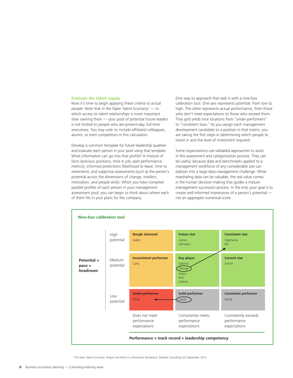#### **Evaluate the talent supply**

Now it's time to begin applying these criteria to actual people. Note that in the Open Talent Economy<sup>1</sup> — in which access to talent relationships is more important than owning them — your pool of potential future leaders is not limited to people who are present-day, full-time executives. You may wish to include affiliated colleagues, alumni, or even competitors in this calculation.

Develop a common template for future leadership qualities and evaluate each person in your pool using that template. What information can go into that profile? A mixture of facts (previous positions, time in job, past performance metrics), informed predictions (likelihood to leave, time to retirement), and subjective assessments (such as the person's potential across the dimensions of change, intellect, motivation, and people skills). When you have compiled parallel profiles of each person in your management assessment pool, you can begin to think about where each of them fits in your plans for the company.

One way to approach that task is with a nine-box calibration tool. One axis represents potential, from low to high. The other represents actual performance, from those who don't meet expectations to those who exceed them. That grid yields nine locations from "under-performers" to "consistent stars." As you assign each management development candidate to a position in that matrix, you are taking the first steps in determining which people to invest in and the level of investment required.

Some organizations use validated approaches to assist in this assessment and categorization process. They can be useful, because data and benchmarks applied to a management workforce of any considerable size can balloon into a large data management challenge. While marshaling data can be valuable, the real value comes in the human decision-making that guides a mature management succession process. In the end, your goal is to create well-informed impressions of a person's potential not an aggregate numerical score.



<sup>1</sup> *The Open Talent Economy: People and Work in a Borderless Workplace,* Deloitte Consulting LLP, September 2013.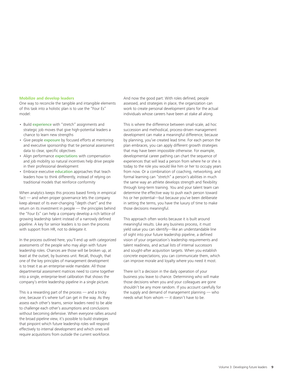#### **Mobilize and develop leaders**

One way to reconcile the tangible and intangible elements of this task into a holistic plan is to use the "Four Es" model:

- Build experience with "stretch" assignments and strategic job moves that give high-potential leaders a chance to learn new strengths
- Give people exposure by focused efforts at mentoring and executive sponsorship that tie personal assessment data to clear, specific objectives
- Align performance expectations with compensation and job mobility so natural incentives help drive people in their professional development
- Embrace executive education approaches that teach leaders how to think differently, instead of relying on traditional models that reinforce conformity

When analytics keeps this process based firmly in empirical fact — and when proper governance lets the company keep abreast of its ever-changing "depth chart" and the return on its investment in people — the principles behind the "Four Es" can help a company develop a rich lattice of growing leadership talent instead of a narrowly defined pipeline. A key for senior leaders is to own the process with support from HR, not to delegate it.

In the process outlined here, you'll end up with categorized assessments of the people who may align with future leadership roles. Chances are those will be broken up, at least at the outset, by business unit. Recall, though, that one of the key principles of management development is to treat it as an enterprise-wide mandate. All those departmental assessment matrices need to come together into a single, enterprise-level calibration that shows the company's entire leadership pipeline in a single picture.

This is a rewarding part of the process — and a tricky one, because it's where turf can get in the way. As they assess each other's teams, senior leaders need to be able to challenge each other's assumptions and conclusions without becoming defensive. When everyone rallies around the broad pipeline view, it's possible to build strategies that pinpoint which future leadership roles will respond effectively to internal development and which ones will require acquisitions from outside the current workforce.

And now the good part: With roles defined, people assessed, and strategies in place, the organization can work to create personal development plans for the actual individuals whose careers have been at stake all along.

This is where the difference between small-scale, ad hoc succession and methodical, process-driven management development can make a meaningful difference, because by planning, you've created lead time. For each person the plan embraces, you can apply different growth strategies that may have been impossible otherwise. For example, developmental career pathing can chart the sequence of experiences that will lead a person from where he or she is today to the role you would like him or her to occupy years from now. Or a combination of coaching, networking, and formal learning can "stretch" a person's abilities in much the same way an athlete develops strength and flexibility through long-term training. You and your talent team can determine the effective way to push each person toward his or her potential—but because you've been deliberate in setting the terms, you have the luxury of time to make those decisions meaningful.

This approach often works because it is built around meaningful results. Like any business process, it must yield value you can identify—like an understandable line of sight into your future leadership pipeline, a defined vision of your organization's leadership requirements and talent readiness, and actual lists of internal successors and sought-after acquisition targets. When you establish concrete expectations, you can communicate them, which can improve morale and loyalty where you need it most.

There isn't a decision in the daily operation of your business you leave to chance. Determining who will make those decisions when you and your colleagues are gone shouldn't be any more random. If you account carefully for the supply and demand of management planning — who needs what from whom — it doesn't have to be.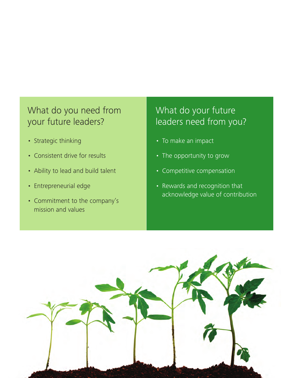### What do you need from your future leaders?

- Strategic thinking
- Consistent drive for results
- Ability to lead and build talent
- Entrepreneurial edge
- Commitment to the company's mission and values

### What do your future leaders need from you?

- To make an impact
- The opportunity to grow
- Competitive compensation
- Rewards and recognition that acknowledge value of contribution

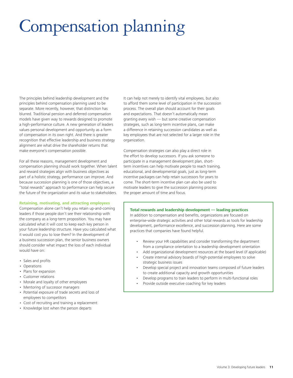# <span id="page-10-0"></span>Compensation planning

The principles behind leadership development and the principles behind compensation planning used to be separate. More recently, however, that distinction has blurred. Traditional pension and deferred compensation models have given way to rewards designed to promote a high-performance culture. A new generation of leaders values personal development and opportunity as a form of compensation in its own right. And there is greater recognition that effective leadership and business strategy alignment are what drive the shareholder returns that make everyone's compensation possible.

For all these reasons, management development and compensation planning should work together. When talent and reward strategies align with business objectives as part of a holistic strategy, performance can improve. And because succession planning is one of those objectives, a "total rewards" approach to performance can help secure the future of the organization and its value to stakeholders.

#### **Retaining, motivating, and attracting employees**

Compensation alone can't help you retain up-and-coming leaders if those people don't see their relationship with the company as a long-term proposition. You may have calculated what it will cost to keep each key person in your future leadership structure. Have you calculated what it would cost you to lose them? In the development of a business succession plan, the senior business owners should consider what impact the loss of each individual would have on:

- Sales and profits
- Operations
- Plans for expansion
- Customer relations
- Morale and loyalty of other employees
- Mentoring of successor managers
- Potential exposure of trade secrets and loss of employees to competitors
- Cost of recruiting and training a replacement
- Knowledge lost when the person departs

It can help not merely to identify vital employees, but also to afford them some level of participation in the succession process. The overall plan should account for their goals and expectations. That doesn't automatically mean granting every wish — but some creative compensation strategies, such as long-term incentive plans, can make a difference in retaining succession candidates as well as key employees that are not selected for a larger role in the organization.

Compensation strategies can also play a direct role in the effort to develop successors. If you ask someone to participate in a management development plan, shortterm incentives can help motivate people to reach training, educational, and developmental goals, just as long-term incentive packages can help retain successors for years to come. The short-term incentive plan can also be used to motivate leaders to give the succession planning process the proper amount of time and focus.

#### **Total rewards and leadership development — leading practices**

In addition to compensation and benefits, organizations are focused on enterprise-wide strategic activities and other total rewards as tools for leadership development, performance excellence, and succession planning. Here are some practices that companies have found helpful.

- Review your HR capabilities and consider transforming the department from a compliance orientation to a leadership development orientation
- Add organizational development resources at the board level (if applicable)
- Create internal advisory boards of high-potential employees to solve strategic business issues
- Develop special project and innovation teams composed of future leaders to create additional capacity and growth opportunities
- Develop programs to train leaders to perform in multi-functional roles
- Provide outside executive coaching for key leaders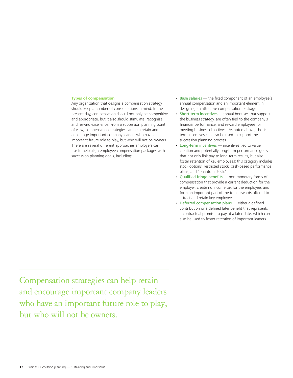#### **Types of compensation**

Any organization that designs a compensation strategy should keep a number of considerations in mind: In the present day, compensation should not only be competitive and appropriate, but it also should stimulate, recognize, and reward excellence. From a succession planning point of view, compensation strategies can help retain and encourage important company leaders who have an important future role to play, but who will not be owners. There are several different approaches employers can use to help align employee compensation packages with succession planning goals, including:

- Base salaries the fixed component of an employee's annual compensation and an important element in designing an attractive compensation package.
- Short-term incentives— annual bonuses that support the business strategy, are often tied to the company's financial performance, and reward employees for meeting business objectives. As noted above, shortterm incentives can also be used to support the succession planning process.
- Long-term incentives incentives tied to value creation and potentially long-term performance goals that not only link pay to long-term results, but also foster retention of key employees; this category includes stock options, restricted stock, cash-based performance plans, and "phantom stock."
- Qualified fringe benefits non-monetary forms of compensation that provide a current deduction for the employer, create no income tax for the employee, and form an important part of the total rewards offered to attract and retain key employees.
- Deferred compensation plans either a defined contribution or a defined later benefit that represents a contractual promise to pay at a later date, which can also be used to foster retention of important leaders.

Compensation strategies can help retain and encourage important company leaders who have an important future role to play, but who will not be owners.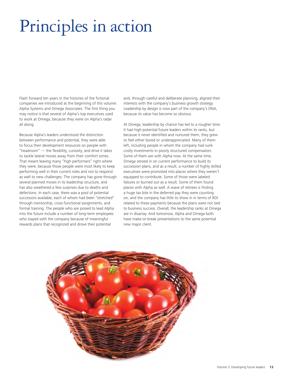# <span id="page-12-0"></span>Principles in action

Flash forward ten years in the histories of the fictional companies we introduced at the beginning of this volume: Alpha Systems and Omega Associates. The first thing you may notice is that several of Alpha's top executives used to work at Omega, because they were on Alpha's radar all along.

Because Alpha's leaders understood the distinction between performance and potential, they were able to focus their development resources on people with "headroom" — the flexibility, curiosity, and drive it takes to tackle lateral moves away from their comfort zones. That meant leaving many "high performers" right where they were, because those people were most likely to keep performing well in their current roles and not to respond as well to new challenges. The company has gone through several planned moves in its leadership structure, and has also weathered a few surprises due to deaths and defections. In each case, there was a pool of potential successors available, each of whom had been "stretched" through mentorship, cross-functional assignments, and formal training. The people who are poised to lead Alpha into the future include a number of long-term employees who stayed with the company because of meaningful rewards plans that recognized and drove their potential

and, through careful and deliberate planning, aligned their interests with the company's business growth strategy. Leadership by design is now part of the company's DNA, because its value has become so obvious.

At Omega, leadership by chance has led to a rougher time. It had high-potential future leaders within its ranks, but because it never identified and nurtured them, they grew to feel either bored or underappreciated. Many of them left, including people in whom the company had sunk costly investments in poorly structured compensation. Some of them are with Alpha now. At the same time, Omega zeroed in on current performance to build its succession plans, and as a result, a number of highly skilled executives were promoted into places where they weren't equipped to contribute. Some of those were labeled failures or burned out as a result. Some of them found places with Alpha as well. A wave of retirees is finding a huge tax bite in the deferred pay they were counting on, and the company has little to show in in terms of ROI related to these payments because the plans were not tied to business success. Overall, the leadership ranks at Omega are in disarray. And tomorrow, Alpha and Omega both have make-or-break presentations to the same potential new major client.

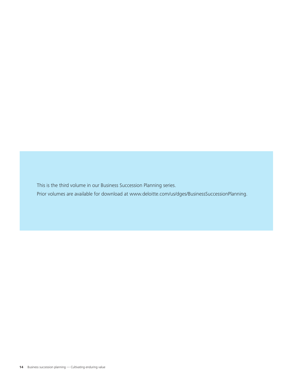This is the third volume in our Business Succession Planning series.

Prior volumes are available for download at [www.deloitte.com/us/dges/BusinessSuccessionPlanning.](http://www.deloitte.com/us/dges/BusinessSuccessionPlanning)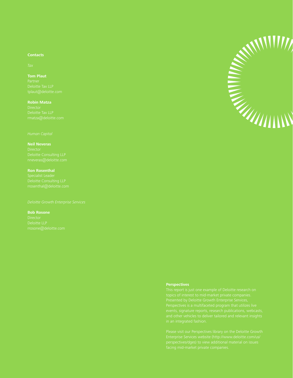### **Contacts**

### **Tom Plaut**

### **Robin Matza** Director

Deloitte Tax LLP

### **Neil Neveras** nneveras@deloitte.com

**Ron Rosenthal** Specialist Leader

#### **Bob Rosone**

rrosone@deloitte.com



#### **Perspectives**

This report is just one example of Deloitte research on